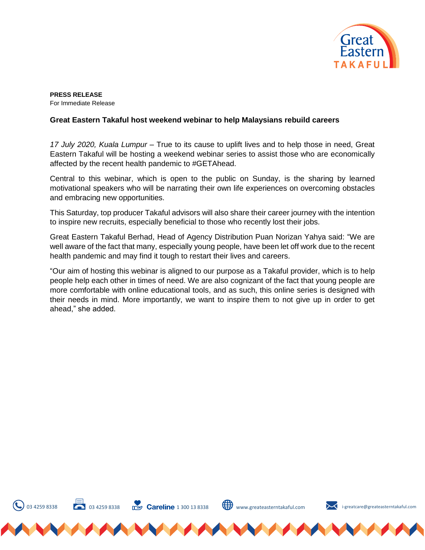

**PRESS RELEASE**  For Immediate Release

## **Great Eastern Takaful host weekend webinar to help Malaysians rebuild careers**

*17 July 2020, Kuala Lumpur* – True to its cause to uplift lives and to help those in need, Great Eastern Takaful will be hosting a weekend webinar series to assist those who are economically affected by the recent health pandemic to #GETAhead.

Central to this webinar, which is open to the public on Sunday, is the sharing by learned motivational speakers who will be narrating their own life experiences on overcoming obstacles and embracing new opportunities.

This Saturday, top producer Takaful advisors will also share their career journey with the intention to inspire new recruits, especially beneficial to those who recently lost their jobs.

Great Eastern Takaful Berhad, Head of Agency Distribution Puan Norizan Yahya said: "We are well aware of the fact that many, especially young people, have been let off work due to the recent health pandemic and may find it tough to restart their lives and careers.

"Our aim of hosting this webinar is aligned to our purpose as a Takaful provider, which is to help people help each other in times of need. We are also cognizant of the fact that young people are more comfortable with online educational tools, and as such, this online series is designed with their needs in mind. More importantly, we want to inspire them to not give up in order to get ahead," she added.